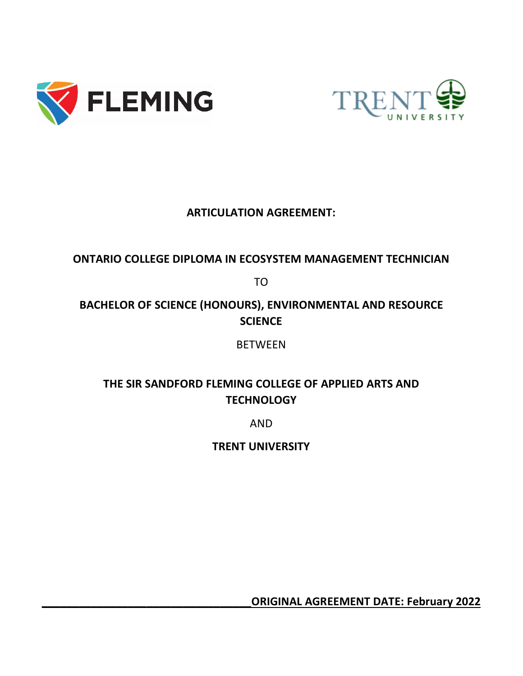



## **ARTICULATION AGREEMENT:**

### **ONTARIO COLLEGE DIPLOMA IN ECOSYSTEM MANAGEMENT TECHNICIAN**

TO

# **BACHELOR OF SCIENCE (HONOURS), ENVIRONMENTAL AND RESOURCE SCIENCE**

**BETWEEN** 

# **THE SIR SANDFORD FLEMING COLLEGE OF APPLIED ARTS AND TECHNOLOGY**

AND

**TRENT UNIVERSITY**

**\_\_\_\_\_\_\_\_\_\_\_\_\_\_\_\_\_\_\_\_\_\_\_\_\_\_\_\_\_\_\_\_\_\_ORIGINAL AGREEMENT DATE: February 2022**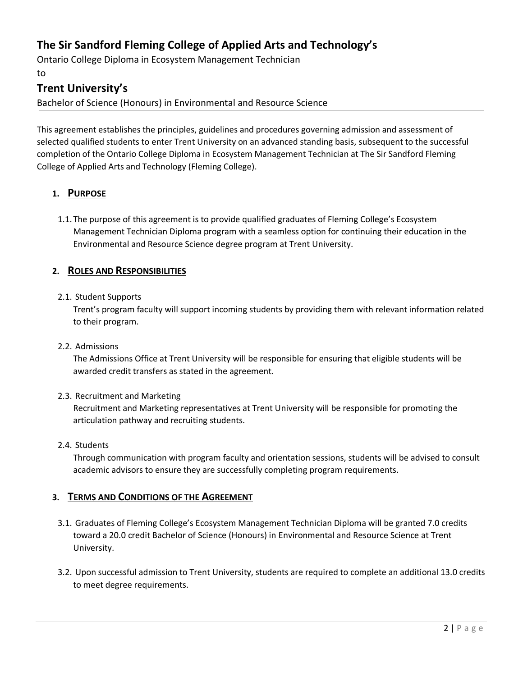### **The Sir Sandford Fleming College of Applied Arts and Technology's**

Ontario College Diploma in Ecosystem Management Technician to

### **Trent University's**

Bachelor of Science (Honours) in Environmental and Resource Science

This agreement establishes the principles, guidelines and procedures governing admission and assessment of selected qualified students to enter Trent University on an advanced standing basis, subsequent to the successful completion of the Ontario College Diploma in Ecosystem Management Technician at The Sir Sandford Fleming College of Applied Arts and Technology (Fleming College).

#### **1. PURPOSE**

1.1.The purpose of this agreement is to provide qualified graduates of Fleming College's Ecosystem Management Technician Diploma program with a seamless option for continuing their education in the Environmental and Resource Science degree program at Trent University.

#### **2. ROLES AND RESPONSIBILITIES**

#### 2.1. Student Supports

Trent's program faculty will support incoming students by providing them with relevant information related to their program.

#### 2.2. Admissions

The Admissions Office at Trent University will be responsible for ensuring that eligible students will be awarded credit transfers as stated in the agreement.

#### 2.3. Recruitment and Marketing

Recruitment and Marketing representatives at Trent University will be responsible for promoting the articulation pathway and recruiting students.

#### 2.4. Students

Through communication with program faculty and orientation sessions, students will be advised to consult academic advisors to ensure they are successfully completing program requirements.

#### **3. TERMS AND CONDITIONS OF THE AGREEMENT**

- 3.1. Graduates of Fleming College's Ecosystem Management Technician Diploma will be granted 7.0 credits toward a 20.0 credit Bachelor of Science (Honours) in Environmental and Resource Science at Trent University.
- 3.2. Upon successful admission to Trent University, students are required to complete an additional 13.0 credits to meet degree requirements.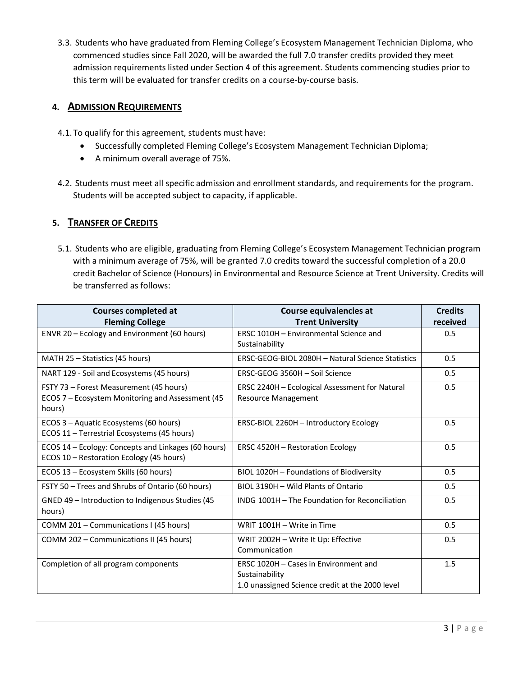3.3. Students who have graduated from Fleming College's Ecosystem Management Technician Diploma, who commenced studies since Fall 2020, will be awarded the full 7.0 transfer credits provided they meet admission requirements listed under Section 4 of this agreement. Students commencing studies prior to this term will be evaluated for transfer credits on a course-by-course basis.

#### **4. ADMISSION REQUIREMENTS**

- 4.1.To qualify for this agreement, students must have:
	- Successfully completed Fleming College's Ecosystem Management Technician Diploma;
	- A minimum overall average of 75%.
- 4.2. Students must meet all specific admission and enrollment standards, and requirements for the program. Students will be accepted subject to capacity, if applicable.

#### **5. TRANSFER OF CREDITS**

5.1. Students who are eligible, graduating from Fleming College's Ecosystem Management Technician program with a minimum average of 75%, will be granted 7.0 credits toward the successful completion of a 20.0 credit Bachelor of Science (Honours) in Environmental and Resource Science at Trent University. Credits will be transferred as follows:

| <b>Courses completed at</b>                                                                     | Course equivalencies at                                                                                    | <b>Credits</b> |
|-------------------------------------------------------------------------------------------------|------------------------------------------------------------------------------------------------------------|----------------|
| <b>Fleming College</b>                                                                          | <b>Trent University</b>                                                                                    | received       |
| ENVR 20 - Ecology and Environment (60 hours)                                                    | ERSC 1010H - Environmental Science and                                                                     | 0.5            |
|                                                                                                 | Sustainability                                                                                             |                |
| MATH 25 – Statistics (45 hours)                                                                 | ERSC-GEOG-BIOL 2080H - Natural Science Statistics                                                          | 0.5            |
| NART 129 - Soil and Ecosystems (45 hours)                                                       | ERSC-GEOG 3560H - Soil Science                                                                             | 0.5            |
| FSTY 73 - Forest Measurement (45 hours)                                                         | ERSC 2240H - Ecological Assessment for Natural                                                             | 0.5            |
| ECOS 7 - Ecosystem Monitoring and Assessment (45<br>hours)                                      | <b>Resource Management</b>                                                                                 |                |
| ECOS 3 - Aquatic Ecosystems (60 hours)<br>ECOS 11 - Terrestrial Ecosystems (45 hours)           | ERSC-BIOL 2260H - Introductory Ecology                                                                     | 0.5            |
| ECOS 14 - Ecology: Concepts and Linkages (60 hours)<br>ECOS 10 - Restoration Ecology (45 hours) | <b>ERSC 4520H - Restoration Ecology</b>                                                                    | 0.5            |
| ECOS 13 - Ecosystem Skills (60 hours)                                                           | BIOL 1020H - Foundations of Biodiversity                                                                   | 0.5            |
| FSTY 50 - Trees and Shrubs of Ontario (60 hours)                                                | BIOL 3190H - Wild Plants of Ontario                                                                        | 0.5            |
| GNED 49 - Introduction to Indigenous Studies (45<br>hours)                                      | INDG 1001H - The Foundation for Reconciliation                                                             | 0.5            |
| COMM 201 - Communications I (45 hours)                                                          | WRIT 1001H - Write in Time                                                                                 | 0.5            |
| COMM 202 - Communications II (45 hours)                                                         | WRIT 2002H - Write It Up: Effective<br>Communication                                                       | 0.5            |
| Completion of all program components                                                            | ERSC 1020H - Cases in Environment and<br>Sustainability<br>1.0 unassigned Science credit at the 2000 level | 1.5            |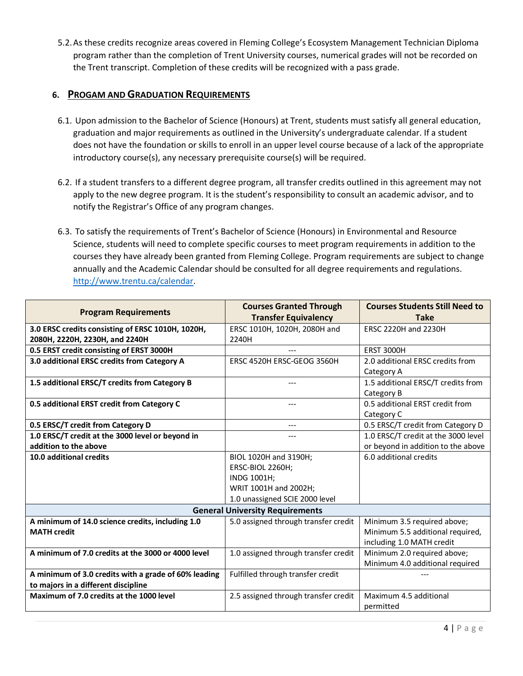5.2.As these credits recognize areas covered in Fleming College's Ecosystem Management Technician Diploma program rather than the completion of Trent University courses, numerical grades will not be recorded on the Trent transcript. Completion of these credits will be recognized with a pass grade.

#### **6. PROGAM AND GRADUATION REQUIREMENTS**

- 6.1. Upon admission to the Bachelor of Science (Honours) at Trent, students must satisfy all general education, graduation and major requirements as outlined in the University's undergraduate calendar. If a student does not have the foundation or skills to enroll in an upper level course because of a lack of the appropriate introductory course(s), any necessary prerequisite course(s) will be required.
- 6.2. If a student transfers to a different degree program, all transfer credits outlined in this agreement may not apply to the new degree program. It is the student's responsibility to consult an academic advisor, and to notify the Registrar's Office of any program changes.
- 6.3. To satisfy the requirements of Trent's Bachelor of Science (Honours) in Environmental and Resource Science, students will need to complete specific courses to meet program requirements in addition to the courses they have already been granted from Fleming College. Program requirements are subject to change annually and the Academic Calendar should be consulted for all degree requirements and regulations. [http://www.trentu.ca/calendar.](http://www.trentu.ca/calendar)

| <b>Program Requirements</b>                          | <b>Courses Granted Through</b>       | <b>Courses Students Still Need to</b> |  |
|------------------------------------------------------|--------------------------------------|---------------------------------------|--|
|                                                      | <b>Transfer Equivalency</b>          | <b>Take</b>                           |  |
| 3.0 ERSC credits consisting of ERSC 1010H, 1020H,    | ERSC 1010H, 1020H, 2080H and         | ERSC 2220H and 2230H                  |  |
| 2080H, 2220H, 2230H, and 2240H                       | 2240H                                |                                       |  |
| 0.5 ERST credit consisting of ERST 3000H             |                                      | <b>ERST 3000H</b>                     |  |
| 3.0 additional ERSC credits from Category A          | ERSC 4520H ERSC-GEOG 3560H           | 2.0 additional ERSC credits from      |  |
|                                                      |                                      | Category A                            |  |
| 1.5 additional ERSC/T credits from Category B        |                                      | 1.5 additional ERSC/T credits from    |  |
|                                                      |                                      | Category B                            |  |
| 0.5 additional ERST credit from Category C           | ---                                  | 0.5 additional ERST credit from       |  |
|                                                      |                                      | Category C                            |  |
| 0.5 ERSC/T credit from Category D                    | $- - -$                              | 0.5 ERSC/T credit from Category D     |  |
| 1.0 ERSC/T credit at the 3000 level or beyond in     | $- - -$                              | 1.0 ERSC/T credit at the 3000 level   |  |
| addition to the above                                |                                      | or beyond in addition to the above    |  |
| 10.0 additional credits                              | BIOL 1020H and 3190H;                | 6.0 additional credits                |  |
|                                                      | ERSC-BIOL 2260H;                     |                                       |  |
|                                                      | INDG 1001H;                          |                                       |  |
|                                                      | WRIT 1001H and 2002H;                |                                       |  |
|                                                      | 1.0 unassigned SCIE 2000 level       |                                       |  |
| <b>General University Requirements</b>               |                                      |                                       |  |
| A minimum of 14.0 science credits, including 1.0     | 5.0 assigned through transfer credit | Minimum 3.5 required above;           |  |
| <b>MATH credit</b>                                   |                                      | Minimum 5.5 additional required,      |  |
|                                                      |                                      | including 1.0 MATH credit             |  |
| A minimum of 7.0 credits at the 3000 or 4000 level   | 1.0 assigned through transfer credit | Minimum 2.0 required above;           |  |
|                                                      |                                      | Minimum 4.0 additional required       |  |
| A minimum of 3.0 credits with a grade of 60% leading | Fulfilled through transfer credit    |                                       |  |
| to majors in a different discipline                  |                                      |                                       |  |
| Maximum of 7.0 credits at the 1000 level             | 2.5 assigned through transfer credit | Maximum 4.5 additional                |  |
|                                                      |                                      | permitted                             |  |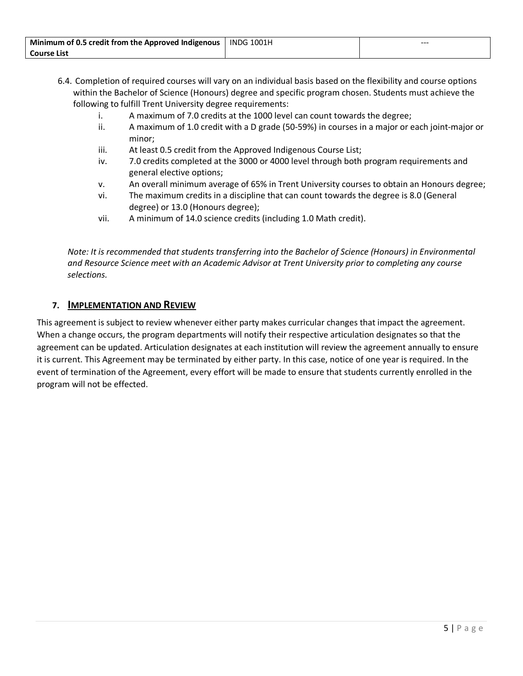| Minimum of 0.5 credit from the Approved Indigenous   INDG 1001H | $- - -$ |
|-----------------------------------------------------------------|---------|
| <b>Course List</b>                                              |         |

- 6.4. Completion of required courses will vary on an individual basis based on the flexibility and course options within the Bachelor of Science (Honours) degree and specific program chosen. Students must achieve the following to fulfill Trent University degree requirements:
	- i. A maximum of 7.0 credits at the 1000 level can count towards the degree;
	- ii. A maximum of 1.0 credit with a D grade (50-59%) in courses in a major or each joint-major or minor;
	- iii. At least 0.5 credit from the Approved Indigenous Course List;
	- iv. 7.0 credits completed at the 3000 or 4000 level through both program requirements and general elective options;
	- v. An overall minimum average of 65% in Trent University courses to obtain an Honours degree;
	- vi. The maximum credits in a discipline that can count towards the degree is 8.0 (General degree) or 13.0 (Honours degree);
	- vii. A minimum of 14.0 science credits (including 1.0 Math credit).

*Note: It is recommended that students transferring into the Bachelor of Science (Honours) in Environmental and Resource Science meet with an Academic Advisor at Trent University prior to completing any course selections.*

#### **7. IMPLEMENTATION AND REVIEW**

This agreement is subject to review whenever either party makes curricular changes that impact the agreement. When a change occurs, the program departments will notify their respective articulation designates so that the agreement can be updated. Articulation designates at each institution will review the agreement annually to ensure it is current. This Agreement may be terminated by either party. In this case, notice of one year is required. In the event of termination of the Agreement, every effort will be made to ensure that students currently enrolled in the program will not be effected.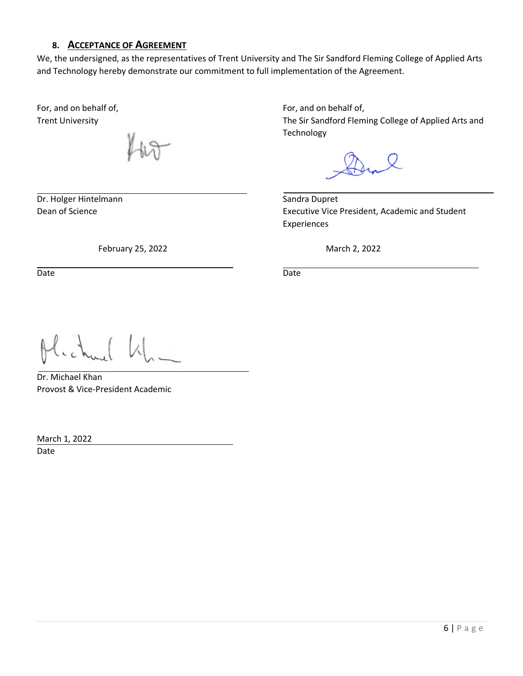#### **8. ACCEPTANCE OF AGREEMENT**

We, the undersigned, as the representatives of Trent University and The Sir Sandford Fleming College of Applied Arts and Technology hereby demonstrate our commitment to full implementation of the Agreement.

For, and on behalf of, For, and on behalf of,

Dr. Holger Hintelmann Sandra Dupret

February 25, 2022 **March 2, 2022** 

Date **Date** Date **Date** Date **Date** Date **Date** 

Trent University The Sir Sandford Fleming College of Applied Arts and Technology

Dean of Science **Executive Vice President**, Academic and Student Experiences

Dr. Michael Khan Provost & Vice-President Academic

March 1, 2022 Date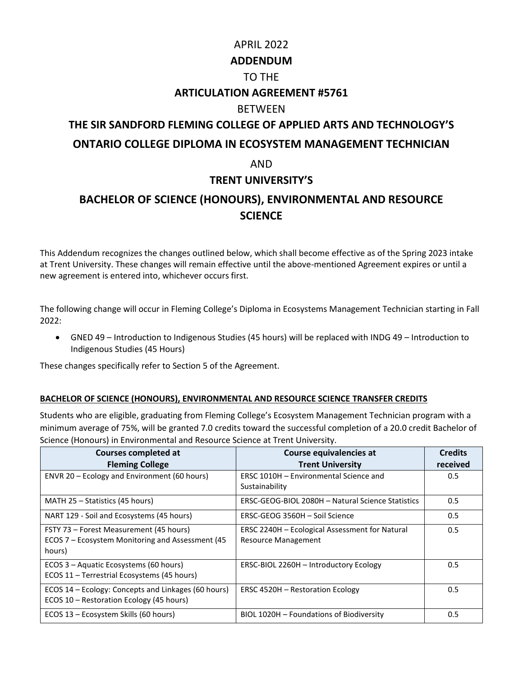# APRIL 2022 **ADDENDUM** TO THE **ARTICULATION AGREEMENT #5761** BETWEEN **THE SIR SANDFORD FLEMING COLLEGE OF APPLIED ARTS AND TECHNOLOGY'S ONTARIO COLLEGE DIPLOMA IN ECOSYSTEM MANAGEMENT TECHNICIAN**  AND **TRENT UNIVERSITY'S**

### **BACHELOR OF SCIENCE (HONOURS), ENVIRONMENTAL AND RESOURCE SCIENCE**

This Addendum recognizes the changes outlined below, which shall become effective as of the Spring 2023 intake at Trent University. These changes will remain effective until the above-mentioned Agreement expires or until a new agreement is entered into, whichever occurs first.

The following change will occur in Fleming College's Diploma in Ecosystems Management Technician starting in Fall 2022:

• GNED 49 – Introduction to Indigenous Studies (45 hours) will be replaced with INDG 49 – Introduction to Indigenous Studies (45 Hours)

These changes specifically refer to Section 5 of the Agreement.

#### **BACHELOR OF SCIENCE (HONOURS), ENVIRONMENTAL AND RESOURCE SCIENCE TRANSFER CREDITS**

Students who are eligible, graduating from Fleming College's Ecosystem Management Technician program with a minimum average of 75%, will be granted 7.0 credits toward the successful completion of a 20.0 credit Bachelor of Science (Honours) in Environmental and Resource Science at Trent University.

| <b>Courses completed at</b><br><b>Fleming College</b>                                                 | Course equivalencies at<br><b>Trent University</b>                           | <b>Credits</b><br>received |
|-------------------------------------------------------------------------------------------------------|------------------------------------------------------------------------------|----------------------------|
| ENVR 20 – Ecology and Environment (60 hours)                                                          | ERSC 1010H - Environmental Science and<br>Sustainability                     | 0.5                        |
| MATH 25 – Statistics (45 hours)                                                                       | ERSC-GEOG-BIOL 2080H - Natural Science Statistics                            | 0.5                        |
| NART 129 - Soil and Ecosystems (45 hours)                                                             | ERSC-GEOG 3560H - Soil Science                                               | 0.5                        |
| FSTY 73 - Forest Measurement (45 hours)<br>ECOS 7 – Ecosystem Monitoring and Assessment (45<br>hours) | ERSC 2240H - Ecological Assessment for Natural<br><b>Resource Management</b> | 0.5                        |
| ECOS 3 – Aquatic Ecosystems (60 hours)<br>ECOS 11 - Terrestrial Ecosystems (45 hours)                 | ERSC-BIOL 2260H - Introductory Ecology                                       | 0.5                        |
| ECOS 14 – Ecology: Concepts and Linkages (60 hours)<br>ECOS 10 - Restoration Ecology (45 hours)       | ERSC 4520H - Restoration Ecology                                             | 0.5                        |
| ECOS 13 - Ecosystem Skills (60 hours)                                                                 | BIOL 1020H - Foundations of Biodiversity                                     | 0.5                        |